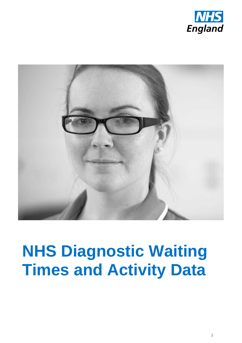



# **NHS Diagnostic Waiting Times and Activity Data**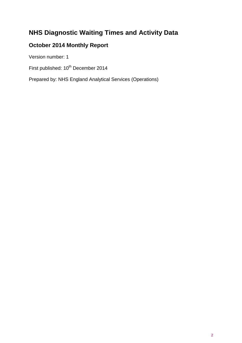# **NHS Diagnostic Waiting Times and Activity Data**

# **October 2014 Monthly Report**

Version number: 1

First published:  $10^{th}$  December 2014

Prepared by: NHS England Analytical Services (Operations)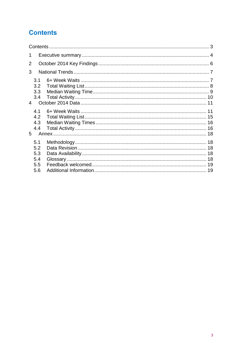# <span id="page-2-0"></span>**Contents**

| 1              |                          |  |  |  |  |  |
|----------------|--------------------------|--|--|--|--|--|
| 2              |                          |  |  |  |  |  |
| 3              |                          |  |  |  |  |  |
|                | 3.1<br>3.2               |  |  |  |  |  |
|                | 3.3<br>3.4               |  |  |  |  |  |
| $\overline{4}$ |                          |  |  |  |  |  |
|                | 4.1<br>4.2<br>4.3<br>4.4 |  |  |  |  |  |
| 5              |                          |  |  |  |  |  |
|                | 5.1<br>5.2<br>5.3<br>5.4 |  |  |  |  |  |
|                | 5.5                      |  |  |  |  |  |
|                | 5.6                      |  |  |  |  |  |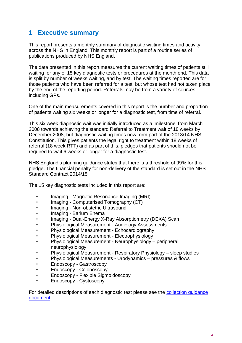# <span id="page-3-0"></span>**1 Executive summary**

This report presents a monthly summary of diagnostic waiting times and activity across the NHS in England. This monthly report is part of a routine series of publications produced by NHS England.

The data presented in this report measures the current waiting times of patients still waiting for any of 15 key diagnostic tests or procedures at the month end. This data is split by number of weeks waiting, and by test. The waiting times reported are for those patients who have been referred for a test, but whose test had not taken place by the end of the reporting period. Referrals may be from a variety of sources including GPs.

One of the main measurements covered in this report is the number and proportion of patients waiting six weeks or longer for a diagnostic test, from time of referral.

This six week diagnostic wait was initially introduced as a 'milestone' from March 2008 towards achieving the standard Referral to Treatment wait of 18 weeks by December 2008, but diagnostic waiting times now form part of the 2013/14 NHS Constitution. This gives patients the legal right to treatment within 18 weeks of referral (18 week RTT) and as part of this, pledges that patients should not be required to wait 6 weeks or longer for a diagnostic test.

NHS England's planning guidance states that there is a threshold of 99% for this pledge. The financial penalty for non-delivery of the standard is set out in the NHS Standard Contract 2014/15.

The 15 key diagnostic tests included in this report are:

- Imaging Magnetic Resonance Imaging (MRI)
- Imaging Computerised Tomography (CT)
- Imaging Non-obstetric Ultrasound
- Imaging Barium Enema
- Imaging Dual-Energy X-Ray Absorptiometry (DEXA) Scan
- Physiological Measurement Audiology Assessments
- Physiological Measurement Echocardiography
- Physiological Measurement Electrophysiology
- Physiological Measurement Neurophysiology peripheral neurophysiology
- Physiological Measurement Respiratory Physiology sleep studies
- Physiological Measurements Urodynamics pressures & flows
- Endoscopy Gastroscopy
- Endoscopy Colonoscopy
- Endoscopy Flexible Sigmoidoscopy
- Endoscopy Cystoscopy

For detailed descriptions of each diagnostic test please see the collection [guidance](http://www.england.nhs.uk/statistics/statistical-work-areas/diagnostics-waiting-times-and-activity/monthly-diagnostics-waiting-times-and-activity)  [document.](http://www.england.nhs.uk/statistics/statistical-work-areas/diagnostics-waiting-times-and-activity/monthly-diagnostics-waiting-times-and-activity)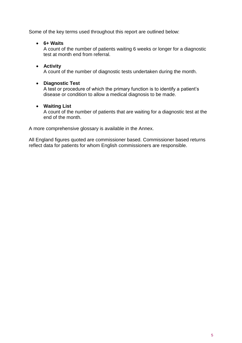Some of the key terms used throughout this report are outlined below:

**6+ Waits**

A count of the number of patients waiting 6 weeks or longer for a diagnostic test at month end from referral.

**Activity**

A count of the number of diagnostic tests undertaken during the month.

#### **Diagnostic Test**

A test or procedure of which the primary function is to identify a patient's disease or condition to allow a medical diagnosis to be made.

#### **Waiting List**

A count of the number of patients that are waiting for a diagnostic test at the end of the month.

A more comprehensive glossary is available in the Annex.

All England figures quoted are commissioner based. Commissioner based returns reflect data for patients for whom English commissioners are responsible.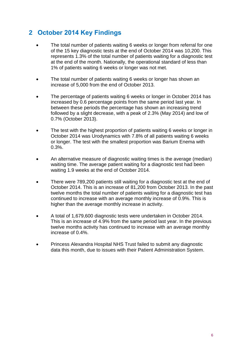# <span id="page-5-0"></span>**2 October 2014 Key Findings**

- The total number of patients waiting 6 weeks or longer from referral for one of the 15 key diagnostic tests at the end of October 2014 was 10,200. This represents 1.3% of the total number of patients waiting for a diagnostic test at the end of the month. Nationally, the operational standard of less than 1% of patients waiting 6 weeks or longer was not met.
- The total number of patients waiting 6 weeks or longer has shown an increase of 5,000 from the end of October 2013.
- The percentage of patients waiting 6 weeks or longer in October 2014 has increased by 0.6 percentage points from the same period last year. In between these periods the percentage has shown an increasing trend followed by a slight decrease, with a peak of 2.3% (May 2014) and low of 0.7% (October 2013).
- The test with the highest proportion of patients waiting 6 weeks or longer in October 2014 was Urodynamics with 7.8% of all patients waiting 6 weeks or longer. The test with the smallest proportion was Barium Enema with 0.3%.
- An alternative measure of diagnostic waiting times is the average (median) waiting time. The average patient waiting for a diagnostic test had been waiting 1.9 weeks at the end of October 2014.
- There were 789,200 patients still waiting for a diagnostic test at the end of October 2014. This is an increase of 81,200 from October 2013. In the past twelve months the total number of patients waiting for a diagnostic test has continued to increase with an average monthly increase of 0.9%. This is higher than the average monthly increase in activity.
- A total of 1,679,600 diagnostic tests were undertaken in October 2014. This is an increase of 4.9% from the same period last year. In the previous twelve months activity has continued to increase with an average monthly increase of 0.4%.
- Princess Alexandra Hospital NHS Trust failed to submit any diagnostic data this month, due to issues with their Patient Administration System.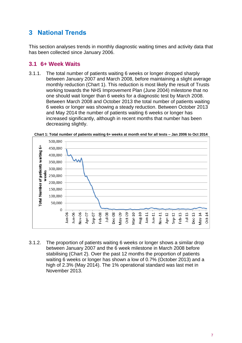# <span id="page-6-0"></span>**3 National Trends**

This section analyses trends in monthly diagnostic waiting times and activity data that has been collected since January 2006.

## <span id="page-6-1"></span>**3.1 6+ Week Waits**

3.1.1. The total number of patients waiting 6 weeks or longer dropped sharply between January 2007 and March 2008, before maintaining a slight average monthly reduction (Chart 1). This reduction is most likely the result of Trusts working towards the NHS Improvement Plan (June 2004) milestone that no one should wait longer than 6 weeks for a diagnostic test by March 2008. Between March 2008 and October 2013 the total number of patients waiting 6 weeks or longer was showing a steady reduction. Between October 2013 and May 2014 the number of patients waiting 6 weeks or longer has increased significantly, although in recent months that number has been decreasing slightly.



**Chart 1: Total number of patients waiting 6+ weeks at month end for all tests – Jan 2006 to Oct 2014**

3.1.2. The proportion of patients waiting 6 weeks or longer shows a similar drop between January 2007 and the 6 week milestone in March 2008 before stabilising (Chart 2). Over the past 12 months the proportion of patients waiting 6 weeks or longer has shown a low of 0.7% (October 2013) and a high of 2.3% (May 2014). The 1% operational standard was last met in November 2013.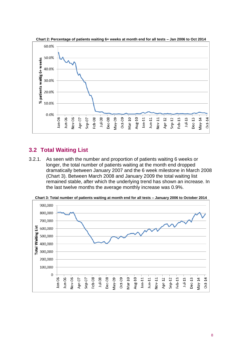



## <span id="page-7-0"></span>**3.2 Total Waiting List**

3.2.1. As seen with the number and proportion of patients waiting 6 weeks or longer, the total number of patients waiting at the month end dropped dramatically between January 2007 and the 6 week milestone in March 2008 (Chart 3). Between March 2008 and January 2009 the total waiting list remained stable, after which the underlying trend has shown an increase. In the last twelve months the average monthly increase was 0.9%.



**Chart 3: Total number of patients waiting at month end for all tests – January 2006 to October 2014**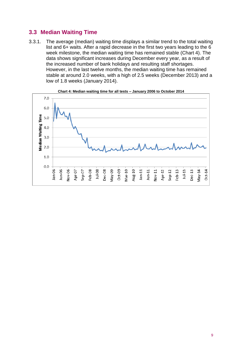## <span id="page-8-0"></span>**3.3 Median Waiting Time**

3.3.1. The average (median) waiting time displays a similar trend to the total waiting list and 6+ waits. After a rapid decrease in the first two years leading to the 6 week milestone, the median waiting time has remained stable (Chart 4). The data shows significant increases during December every year, as a result of the increased number of bank holidays and resulting staff shortages. However, in the last twelve months, the median waiting time has remained stable at around 2.0 weeks, with a high of 2.5 weeks (December 2013) and a low of 1.8 weeks (January 2014).



**Chart 4: Median waiting time for all tests – January 2006 to October 2014**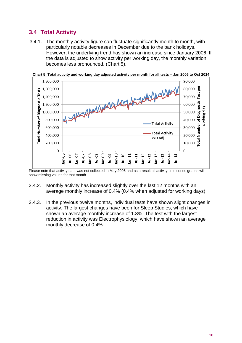# <span id="page-9-0"></span>**3.4 Total Activity**

3.4.1. The monthly activity figure can fluctuate significantly month to month, with particularly notable decreases in December due to the bank holidays. However, the underlying trend has shown an increase since January 2006. If the data is adjusted to show activity per working day, the monthly variation becomes less pronounced. (Chart 5).



**Chart 5: Total activity and working day adjusted activity per month for all tests – Jan 2006 to Oct 2014**

- 3.4.2. Monthly activity has increased slightly over the last 12 months with an average monthly increase of 0.4% (0.4% when adjusted for working days).
- 3.4.3. In the previous twelve months, individual tests have shown slight changes in activity. The largest changes have been for Sleep Studies, which have shown an average monthly increase of 1.8%. The test with the largest reduction in activity was Electrophysiology, which have shown an average monthly decrease of 0.4%

Please note that activity data was not collected in May 2006 and as a result all activity time series graphs will show missing values for that month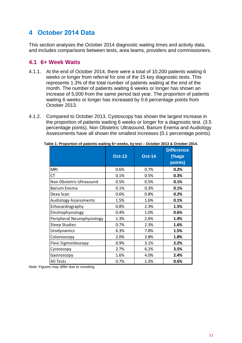# <span id="page-10-0"></span>**4 October 2014 Data**

This section analyses the October 2014 diagnostic waiting times and activity data, and includes comparisons between tests, area teams, providers and commissioners.

#### <span id="page-10-1"></span>**4.1 6+ Week Waits**

- 4.1.1. At the end of October 2014, there were a total of 10,200 patients waiting 6 weeks or longer from referral for one of the 15 key diagnostic tests. This represents 1.3% of the total number of patients waiting at the end of the month. The number of patients waiting 6 weeks or longer has shown an increase of 5,000 from the same period last year. The proportion of patients waiting 6 weeks or longer has increased by 0.6 percentage points from October 2013.
- 4.1.2. Compared to October 2013, Cystoscopy has shown the largest increase in the proportion of patients waiting 6 weeks or longer for a diagnostic test. (3.5 percentage points). Non Obstetric Ultrasound, Barium Enema and Audiology Assessments have all shown the smallest increases (0.1 percentage points).

|                              | <b>Oct-13</b> | <b>Oct-14</b> | <b>Difference</b><br>(%age<br>points) |
|------------------------------|---------------|---------------|---------------------------------------|
| <b>MRI</b>                   | 0.6%          | 0.7%          | 0.2%                                  |
| СT                           | 0.1%          | 0.5%          | 0.3%                                  |
| Non Obstetric Ultrasound     | 0.5%          | 0.5%          | 0.1%                                  |
| Barium Enema                 | 0.1%          | 0.3%          | 0.1%                                  |
| Dexa Scan                    | 0.6%          | 0.8%          | 0.2%                                  |
| <b>Audiology Assessments</b> | 1.5%          | 1.6%          | 0.1%                                  |
| Echocardiography             | 0.8%          | 2.3%          | 1.5%                                  |
| Electrophysiology            | 0.4%          | 1.0%          | 0.6%                                  |
| Peripheral Neurophysiology   | 1.3%          | 2.6%          | 1.4%                                  |
| <b>Sleep Studies</b>         | 0.7%          | 2.3%          | 1.6%                                  |
| Urodynamics                  | 6.3%          | 7.8%          | 1.5%                                  |
| Colonoscopy                  | 2.0%          | 3.8%          | 1.8%                                  |
| Flexi Sigmoidoscopy          | 0.9%          | 3.1%          | 2.2%                                  |
| Cystoscopy                   | 2.7%          | 6.2%          | 3.5%                                  |
| Gastroscopy                  | 1.6%          | 4.0%          | 2.4%                                  |
| All Tests                    | 0.7%          | 1.3%          | 0.6%                                  |

**Table 1: Proportion of patients waiting 6+ weeks, by test – October 2013 & October 2014.**

Note: Figures may differ due to rounding.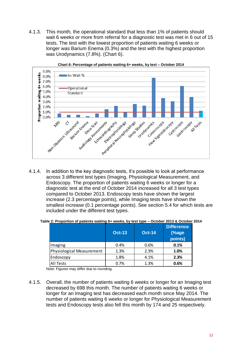4.1.3. This month, the operational standard that less than 1% of patients should wait 6 weeks or more from referral for a diagnostic test was met in 6 out of 15 tests. The test with the lowest proportion of patients waiting 6 weeks or longer was Barium Enema (0.3%) and the test with the highest proportion was Urodynamics (7.8%). (Chart 6).



**Chart 6: Percentage of patients waiting 6+ weeks, by test – October 2014**

4.1.4. In addition to the key diagnostic tests, it's possible to look at performance across 3 different test types (Imaging, Physiological Measurement, and Endoscopy. The proportion of patients waiting 6 weeks or longer for a diagnostic test at the end of October 2014 increased for all 3 test types compared to October 2013. Endoscopy tests have shown the largest increase (2.3 percentage points), while Imaging tests have shown the smallest increase (0.1 percentage points). See section 5.4 for which tests are included under the different test types.

|  |  | Table 2: Proportion of patients waiting 6+ weeks, by test type - October 2013 & October 2014 |  |
|--|--|----------------------------------------------------------------------------------------------|--|
|  |  |                                                                                              |  |

|                           | <b>Oct-13</b> | <b>Oct-14</b> | <b>Difference</b><br>(%age<br>points) |
|---------------------------|---------------|---------------|---------------------------------------|
| Imaging                   | 0.4%          | 0.6%          | 0.1%                                  |
| Physiological Measurement | 1.3%          | 2.3%          | 1.0%                                  |
| Endoscopy                 | 1.8%          | 4.1%          | 2.3%                                  |
| All Tests                 | $0.7\%$       | 1.3%          | 0.6%                                  |

Note: Figures may differ due to rounding.

4.1.5. Overall, the number of patients waiting 6 weeks or longer for an Imaging test decreased by 698 this month. The number of patients waiting 6 weeks or longer for an Imaging test has decreased each month since May 2014. The number of patients waiting 6 weeks or longer for Physiological Measurement tests and Endoscopy tests also fell this month by 174 and 25 respectively.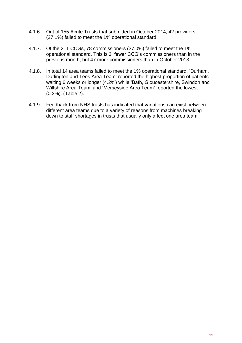- 4.1.6. Out of 155 Acute Trusts that submitted in October 2014, 42 providers (27.1%) failed to meet the 1% operational standard.
- 4.1.7. Of the 211 CCGs, 78 commissioners (37.0%) failed to meet the 1% operational standard. This is 3 fewer CCG's commissioners than in the previous month, but 47 more commissioners than in October 2013.
- 4.1.8. In total 14 area teams failed to meet the 1% operational standard. 'Durham, Darlington and Tees Area Team' reported the highest proportion of patients waiting 6 weeks or longer (4.2%) while 'Bath, Gloucestershire, Swindon and Wiltshire Area Team' and 'Merseyside Area Team' reported the lowest (0.3%). (Table 2).
- 4.1.9. Feedback from NHS trusts has indicated that variations can exist between different area teams due to a variety of reasons from machines breaking down to staff shortages in trusts that usually only affect one area team.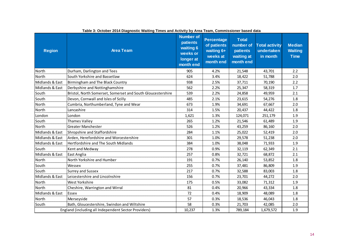| <b>Region</b>                                        | <b>Area Team</b>                                            | <b>Number of</b><br>patients<br>waiting 6<br>weeks or<br>longer at<br>month end | <b>Percentage</b><br>of patients<br>waiting 6+<br>weeks at<br>month end | <b>Total</b><br>number of<br>patients<br>waiting at<br>month end | <b>Total activity</b><br>undertaken<br>in month | <b>Median</b><br><b>Waiting</b><br><b>Time</b> |
|------------------------------------------------------|-------------------------------------------------------------|---------------------------------------------------------------------------------|-------------------------------------------------------------------------|------------------------------------------------------------------|-------------------------------------------------|------------------------------------------------|
| North                                                | Durham, Darlington and Tees                                 | 905                                                                             | 4.2%                                                                    | 21,548                                                           | 43,701                                          | 2.2                                            |
| North                                                | South Yorkshire and Bassetlaw                               | 624                                                                             | 3.4%                                                                    | 18,422                                                           | 51,788                                          | 2.0                                            |
| Midlands & East                                      | Birmingham and The Black Country                            | 938                                                                             | 2.5%                                                                    | 37,711                                                           | 70,190                                          | 2.2                                            |
| Midlands & East                                      | Derbyshire and Nottinghamshire                              | 562                                                                             | 2.2%                                                                    | 25,347                                                           | 58,319                                          | 1.7                                            |
| South                                                | Bristol, North Somerset, Somerset and South Gloucestershire | 539                                                                             | 2.2%                                                                    | 24,858                                                           | 49,959                                          | 2.1                                            |
| South                                                | Devon, Cornwall and Isles of Scilly                         | 485                                                                             | 2.1%                                                                    | 23,615                                                           | 54,276                                          | 1.8                                            |
| North                                                | Cumbria, Northumberland, Tyne and Wear                      | 673                                                                             | 1.9%                                                                    | 34,691                                                           | 67,667                                          | 2.0                                            |
| North                                                | Lancashire                                                  | 314                                                                             | 1.5%                                                                    | 20,437                                                           | 44,422                                          | 1.8                                            |
| London                                               | London                                                      | 1,621                                                                           | 1.3%                                                                    | 124,071                                                          | 251,179                                         | 1.9                                            |
| South                                                | Thames Valley                                               | 265                                                                             | 1.2%                                                                    | 21,546                                                           | 61,489                                          | 1.9                                            |
| North                                                | <b>Greater Manchester</b>                                   | 526                                                                             | 1.2%                                                                    | 43,259                                                           | 86,160                                          | 2.0                                            |
| Midlands & East                                      | Shropshire and Staffordshire                                | 284                                                                             | 1.1%                                                                    | 25,022                                                           | 52,419                                          | 2.0                                            |
| Midlands & East                                      | Arden, Herefordshire and Worcestershire                     | 301                                                                             | 1.0%                                                                    | 29,578                                                           | 51,238                                          | 2.0                                            |
| Midlands & East                                      | Hertfordshire and The South Midlands                        | 384                                                                             | 1.0%                                                                    | 38,048                                                           | 71,933                                          | 1.9                                            |
| South                                                | Kent and Medway                                             | 278                                                                             | 0.9%                                                                    | 32,119                                                           | 62,349                                          | 2.1                                            |
| Midlands & East                                      | East Anglia                                                 | 257                                                                             | 0.8%                                                                    | 32,721                                                           | 68,872                                          | 2.1                                            |
| North                                                | North Yorkshire and Humber                                  | 191                                                                             | 0.7%                                                                    | 26,140                                                           | 53,852                                          | 1.8                                            |
| South                                                | Wessex                                                      | 255                                                                             | 0.7%                                                                    | 37,481                                                           | 86,809                                          | 1.9                                            |
| South                                                | <b>Surrey and Sussex</b>                                    | 217                                                                             | 0.7%                                                                    | 32,588                                                           | 83,003                                          | 1.8                                            |
| Midlands & East                                      | Leicestershire and Lincolnshire                             | 156                                                                             | 0.7%                                                                    | 23,701                                                           | 44,272                                          | 2.0                                            |
| North                                                | West Yorkshire                                              | 175                                                                             | 0.5%                                                                    | 33,082                                                           | 71,312                                          | 1.9                                            |
| North                                                | Cheshire, Warrington and Wirral                             | 81                                                                              | 0.4%                                                                    | 20,966                                                           | 43,334                                          | 1.8                                            |
| Midlands & East                                      | Essex                                                       | 72                                                                              | 0.4%                                                                    | 18,909                                                           | 48,089                                          | 1.8                                            |
| North                                                | Merseyside                                                  | 57                                                                              | 0.3%                                                                    | 18,536                                                           | 46,043                                          | 1.8                                            |
| South                                                | Bath, Gloucestershire, Swindon and Wiltshire                | 58                                                                              | 0.3%                                                                    | 21,703                                                           | 42,085                                          | 2.0                                            |
| England (including all Independent Sector Providers) | 10,237                                                      | 1.3%                                                                            | 789,184                                                                 | 1,679,572                                                        | 1.9                                             |                                                |

**Table 3: October 2014 Diagnostic Waiting Times and Activity by Area Team, Commissioner based data**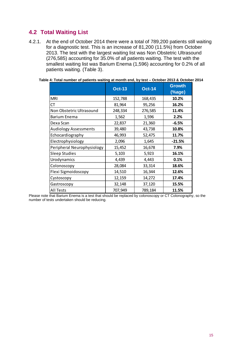## <span id="page-14-0"></span>**4.2 Total Waiting List**

4.2.1. At the end of October 2014 there were a total of 789,200 patients still waiting for a diagnostic test. This is an increase of 81,200 (11.5%) from October 2013. The test with the largest waiting list was Non Obstetric Ultrasound (276,585) accounting for 35.0% of all patients waiting. The test with the smallest waiting list was Barium Enema (1,596) accounting for 0.2% of all patients waiting. (Table 3).

|                              | <b>Oct-13</b> | <b>Oct-14</b> | <b>Growth</b><br>$(\%$ age) |
|------------------------------|---------------|---------------|-----------------------------|
| <b>MRI</b>                   | 152,788       | 168,435       | 10.2%                       |
| СT                           | 81,964        | 95,256        | 16.2%                       |
| Non Obstetric Ultrasound     | 248,334       | 276,585       | 11.4%                       |
| Barium Enema                 | 1,562         | 1,596         | 2.2%                        |
| Dexa Scan                    | 22,837        | 21,360        | $-6.5%$                     |
| <b>Audiology Assessments</b> | 39,480        | 43,738        | 10.8%                       |
| Echocardiography             | 46,993        | 52,475        | 11.7%                       |
| Electrophysiology            | 2,096         | 1,645         | $-21.5%$                    |
| Peripheral Neurophysiology   | 15,452        | 16,678        | 7.9%                        |
| <b>Sleep Studies</b>         | 5,103         | 5,923         | 16.1%                       |
| Urodynamics                  | 4,439         | 4,443         | 0.1%                        |
| Colonoscopy                  | 28,084        | 33,314        | 18.6%                       |
| Flexi Sigmoidoscopy          | 14,510        | 16,344        | 12.6%                       |
| Cystoscopy                   | 12,159        | 14,272        | 17.4%                       |
| Gastroscopy                  | 32,148        | 37,120        | 15.5%                       |
| All Tests                    | 707,949       | 789,184       | 11.5%                       |

#### **Table 4: Total number of patients waiting at month end, by test – October 2013 & October 2014**

Please note that Barium Enema is a test that should be replaced by colonoscopy or CT Colonography, so the number of tests undertaken should be reducing.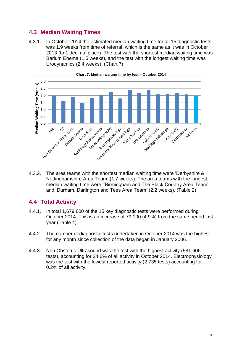## <span id="page-15-0"></span>**4.3 Median Waiting Times**

4.3.1. In October 2014 the estimated median waiting time for all 15 diagnostic tests was 1.9 weeks from time of referral, which is the same as it was in October 2013 (to 1 decimal place). The test with the shortest median waiting time was Barium Enema (1.5 weeks), and the test with the longest waiting time was Urodynamics (2.4 weeks). (Chart 7)



**Chart 7: Median waiting time by test – October 2014**

4.3.2. The area teams with the shortest median waiting time were 'Derbyshire & Nottinghamshire Area Team' (1.7 weeks). The area teams with the longest median waiting time were ''Birmingham and The Black Country Area Team' and 'Durham, Darlington and Tees Area Team' (2.2 weeks). (Table 2)

## <span id="page-15-1"></span>**4.4 Total Activity**

- 4.4.1. In total 1,679,600 of the 15 key diagnostic tests were performed during October 2014. This is an increase of 79,100 (4.9%) from the same period last year (Table 4).
- 4.4.2. The number of diagnostic tests undertaken in October 2014 was the highest for any month since collection of the data began in January 2006.
- 4.4.3. Non Obstetric Ultrasound was the test with the highest activity (581,606 tests), accounting for 34.6% of all activity in October 2014. Electrophysiology was the test with the lowest reported activity (2,735 tests) accounting for 0.2% of all activity.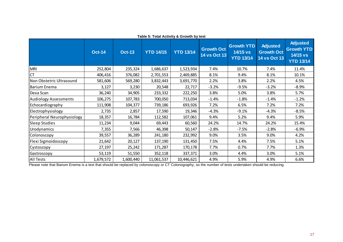|                              | rabic of Total Activity & Orowth by tool |               |                  |                  |                                          |                                                   |                                                             |                                                                      |  |
|------------------------------|------------------------------------------|---------------|------------------|------------------|------------------------------------------|---------------------------------------------------|-------------------------------------------------------------|----------------------------------------------------------------------|--|
|                              | <b>Oct-14</b>                            | <b>Oct-13</b> | <b>YTD 14/15</b> | <b>YTD 13/14</b> | <b>Growth Oct</b><br><b>14 vs Oct 13</b> | <b>Growth YTD</b><br>14/15 vs<br><b>YTD 13/14</b> | <b>Adjusted</b><br><b>Growth Oct</b><br><b>14 vs Oct 13</b> | <b>Adjusted</b><br><b>Growth YTD</b><br>14/15 vs<br><b>YTD 13/14</b> |  |
| <b>MRI</b>                   | 252,804                                  | 235,324       | 1,686,637        | 1,523,934        | 7.4%                                     | 10.7%                                             | 7.4%                                                        | 11.4%                                                                |  |
| <b>CT</b>                    | 406,416                                  | 376,082       | 2,701,553        | 2,469,885        | 8.1%                                     | 9.4%                                              | 8.1%                                                        | 10.1%                                                                |  |
| Non Obstetric Ultrasound     | 581,606                                  | 569,280       | 3,832,443        | 3,691,770        | 2.2%                                     | 3.8%                                              | 2.2%                                                        | 4.5%                                                                 |  |
| <b>Barium Enema</b>          | 3,127                                    | 3,230         | 20,548           | 22,717           | $-3.2%$                                  | $-9.5%$                                           | $-3.2%$                                                     | $-8.9%$                                                              |  |
| Dexa Scan                    | 36,240                                   | 34,905        | 233,332          | 222,250          | 3.8%                                     | 5.0%                                              | 3.8%                                                        | 5.7%                                                                 |  |
| <b>Audiology Assessments</b> | 106,275                                  | 107,783       | 700,050          | 713,034          | $-1.4%$                                  | $-1.8%$                                           | $-1.4%$                                                     | $-1.2%$                                                              |  |
| Echocardiography             | 111,908                                  | 104,377       | 739,186          | 693,926          | 7.2%                                     | 6.5%                                              | 7.2%                                                        | 7.2%                                                                 |  |
| Electrophysiology            | 2,735                                    | 2,857         | 17,590           | 19,346           | $-4.3%$                                  | $-9.1%$                                           | $-4.3%$                                                     | $-8.5%$                                                              |  |
| Peripheral Neurophysiology   | 18,357                                   | 16,784        | 112,582          | 107,061          | 9.4%                                     | 5.2%                                              | 9.4%                                                        | 5.9%                                                                 |  |
| <b>Sleep Studies</b>         | 11,234                                   | 9,044         | 69,443           | 60,560           | 24.2%                                    | 14.7%                                             | 24.2%                                                       | 15.4%                                                                |  |
| Urodynamics                  | 7,355                                    | 7,566         | 46,398           | 50,147           | $-2.8%$                                  | $-7.5%$                                           | $-2.8%$                                                     | $-6.9%$                                                              |  |
| Colonoscopy                  | 39,557                                   | 36,289        | 241,180          | 232,992          | 9.0%                                     | 3.5%                                              | 9.0%                                                        | 4.2%                                                                 |  |
| Flexi Sigmoidoscopy          | 21,642                                   | 20,127        | 137,190          | 131,450          | 7.5%                                     | 4.4%                                              | 7.5%                                                        | 5.1%                                                                 |  |
| Cystoscopy                   | 27,197                                   | 25,242        | 171,287          | 170,178          | 7.7%                                     | 0.7%                                              | 7.7%                                                        | 1.3%                                                                 |  |
| Gastroscopy                  | 53,119                                   | 51,550        | 352,118          | 337,371          | 3.0%                                     | 4.4%                                              | 3.0%                                                        | 5.1%                                                                 |  |
| <b>All Tests</b>             | 1,679,572                                | 1,600,440     | 11,061,537       | 10,446,621       | 4.9%                                     | 5.9%                                              | 4.9%                                                        | 6.6%                                                                 |  |

**Table 5: Total Activity & Growth by test**

Please note that Barium Enema is a test that should be replaced by colonoscopy or CT Colonography, so the number of tests undertaken should be reducing.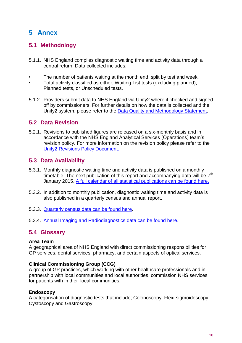# <span id="page-17-0"></span>**5 Annex**

# <span id="page-17-1"></span>**5.1 Methodology**

- 5.1.1. NHS England compiles diagnostic waiting time and activity data through a central return. Data collected includes:
- The number of patients waiting at the month end, split by test and week.
- Total activity classified as either; Waiting List tests (excluding planned), Planned tests, or Unscheduled tests.
- 5.1.2. Providers submit data to NHS England via Unify2 where it checked and signed off by commissioners. For further details on how the data is collected and the Unify2 system, please refer to the [Data Quality and Methodology Statement.](http://www.england.nhs.uk/statistics/wp-content/uploads/sites/2/2013/08/Diagnostics-Data-Quality-Statement.pdf)

## <span id="page-17-2"></span>**5.2 Data Revision**

5.2.1. Revisions to published figures are released on a six-monthly basis and in accordance with the NHS England Analytical Services (Operations) team's revision policy. For more information on the revision policy please refer to the [Unify2 Revisions Policy Document.](http://www.england.nhs.uk/statistics/wp-content/uploads/sites/2/2012/04/Unify2-revisions-policy.pdf)

## <span id="page-17-3"></span>**5.3 Data Availability**

- 5.3.1. Monthly diagnostic waiting time and activity data is published on a monthly timetable. The next publication of this report and accompanying data will be  $7<sup>th</sup>$ January 2015. [A full calendar of all statistical publications can be found here.](http://www.england.nhs.uk/statistics/12-months-statistics-calendar/)
- 5.3.2. In addition to monthly publication, diagnostic waiting time and activity data is also published in a quarterly census and annual report.
- 5.3.3. [Quarterly census data can be found here.](http://www.england.nhs.uk/statistics/statistical-work-areas/diagnostics-waiting-times-and-activity/diagnostics-census-data/)
- 5.3.4. [Annual Imaging and Radiodiagnostics data can be found here.](http://www.england.nhs.uk/statistics/statistical-work-areas/diagnostics-waiting-times-and-activity/imaging-and-radiodiagnostics-annual-data/)

### <span id="page-17-4"></span>**5.4 Glossary**

#### **Area Team**

A geographical area of NHS England with direct commissioning responsibilities for GP services, dental services, pharmacy, and certain aspects of optical services.

#### **Clinical Commissioning Group (CCG)**

A group of GP practices, which working with other healthcare professionals and in partnership with local communities and local authorities, commission NHS services for patients with in their local communities.

#### **Endoscopy**

A categorisation of diagnostic tests that include; Colonoscopy; Flexi sigmoidoscopy; Cystoscopy and Gastroscopy.